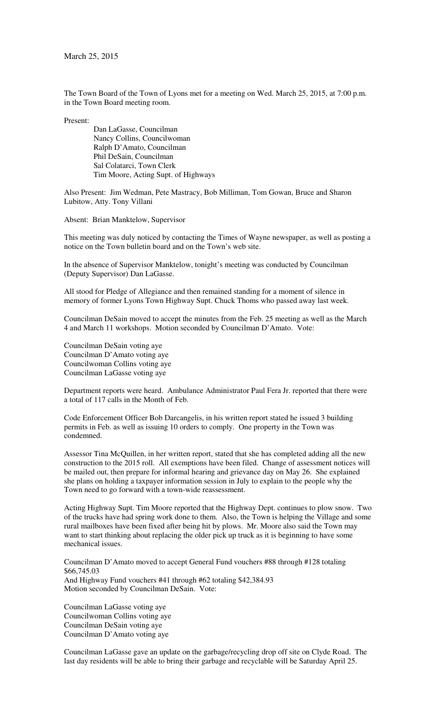The Town Board of the Town of Lyons met for a meeting on Wed. March 25, 2015, at 7:00 p.m. in the Town Board meeting room.

Present:

 Dan LaGasse, Councilman Nancy Collins, Councilwoman Ralph D'Amato, Councilman Phil DeSain, Councilman Sal Colatarci, Town Clerk Tim Moore, Acting Supt. of Highways

Also Present: Jim Wedman, Pete Mastracy, Bob Milliman, Tom Gowan, Bruce and Sharon Lubitow, Atty. Tony Villani

Absent: Brian Manktelow, Supervisor

This meeting was duly noticed by contacting the Times of Wayne newspaper, as well as posting a notice on the Town bulletin board and on the Town's web site.

In the absence of Supervisor Manktelow, tonight's meeting was conducted by Councilman (Deputy Supervisor) Dan LaGasse.

All stood for Pledge of Allegiance and then remained standing for a moment of silence in memory of former Lyons Town Highway Supt. Chuck Thoms who passed away last week.

Councilman DeSain moved to accept the minutes from the Feb. 25 meeting as well as the March 4 and March 11 workshops. Motion seconded by Councilman D'Amato. Vote:

Councilman DeSain voting aye Councilman D'Amato voting aye Councilwoman Collins voting aye Councilman LaGasse voting aye

Department reports were heard. Ambulance Administrator Paul Fera Jr. reported that there were a total of 117 calls in the Month of Feb.

Code Enforcement Officer Bob Darcangelis, in his written report stated he issued 3 building permits in Feb. as well as issuing 10 orders to comply. One property in the Town was condemned.

Assessor Tina McQuillen, in her written report, stated that she has completed adding all the new construction to the 2015 roll. All exemptions have been filed. Change of assessment notices will be mailed out, then prepare for informal hearing and grievance day on May 26. She explained she plans on holding a taxpayer information session in July to explain to the people why the Town need to go forward with a town-wide reassessment.

Acting Highway Supt. Tim Moore reported that the Highway Dept. continues to plow snow. Two of the trucks have had spring work done to them. Also, the Town is helping the Village and some rural mailboxes have been fixed after being hit by plows. Mr. Moore also said the Town may want to start thinking about replacing the older pick up truck as it is beginning to have some mechanical issues.

Councilman D'Amato moved to accept General Fund vouchers #88 through #128 totaling \$66,745.03 And Highway Fund vouchers #41 through #62 totaling \$42,384.93 Motion seconded by Councilman DeSain. Vote:

Councilman LaGasse voting aye Councilwoman Collins voting aye Councilman DeSain voting aye Councilman D'Amato voting aye

Councilman LaGasse gave an update on the garbage/recycling drop off site on Clyde Road. The last day residents will be able to bring their garbage and recyclable will be Saturday April 25.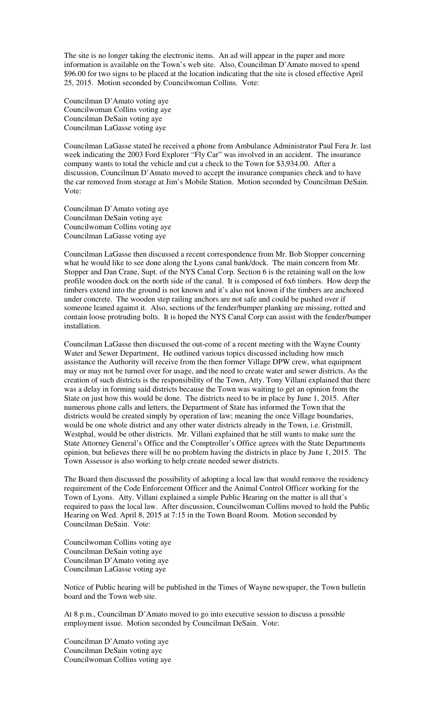The site is no longer taking the electronic items. An ad will appear in the paper and more information is available on the Town's web site. Also, Councilman D'Amato moved to spend \$96.00 for two signs to be placed at the location indicating that the site is closed effective April 25, 2015. Motion seconded by Councilwoman Collins. Vote:

Councilman D'Amato voting aye Councilwoman Collins voting aye Councilman DeSain voting aye Councilman LaGasse voting aye

Councilman LaGasse stated he received a phone from Ambulance Administrator Paul Fera Jr. last week indicating the 2003 Ford Explorer "Fly Car" was involved in an accident. The insurance company wants to total the vehicle and cut a check to the Town for \$3,934.00. After a discussion, Councilman D'Amato moved to accept the insurance companies check and to have the car removed from storage at Jim's Mobile Station. Motion seconded by Councilman DeSain. Vote:

Councilman D'Amato voting aye Councilman DeSain voting aye Councilwoman Collins voting aye Councilman LaGasse voting aye

Councilman LaGasse then discussed a recent correspondence from Mr. Bob Stopper concerning what he would like to see done along the Lyons canal bank/dock. The main concern from Mr. Stopper and Dan Crane, Supt. of the NYS Canal Corp. Section 6 is the retaining wall on the low profile wooden dock on the north side of the canal. It is composed of 6x6 timbers. How deep the timbers extend into the ground is not known and it's also not known if the timbers are anchored under concrete. The wooden step railing anchors are not safe and could be pushed over if someone leaned against it. Also, sections of the fender/bumper planking are missing, rotted and contain loose protruding bolts. It is hoped the NYS Canal Corp can assist with the fender/bumper installation.

Councilman LaGasse then discussed the out-come of a recent meeting with the Wayne County Water and Sewer Department, He outlined various topics discussed including how much assistance the Authority will receive from the then former Village DPW crew, what equipment may or may not be turned over for usage, and the need to create water and sewer districts. As the creation of such districts is the responsibility of the Town, Atty. Tony Villani explained that there was a delay in forming said districts because the Town was waiting to get an opinion from the State on just how this would be done. The districts need to be in place by June 1, 2015. After numerous phone calls and letters, the Department of State has informed the Town that the districts would be created simply by operation of law; meaning the once Village boundaries, would be one whole district and any other water districts already in the Town, i.e. Gristmill, Westphal, would be other districts. Mr. Villani explained that he still wants to make sure the State Attorney General's Office and the Comptroller's Office agrees with the State Departments opinion, but believes there will be no problem having the districts in place by June 1, 2015. The Town Assessor is also working to help create needed sewer districts.

The Board then discussed the possibility of adopting a local law that would remove the residency requirement of the Code Enforcement Officer and the Animal Control Officer working for the Town of Lyons. Atty. Villani explained a simple Public Hearing on the matter is all that's required to pass the local law. After discussion, Councilwoman Collins moved to hold the Public Hearing on Wed. April 8, 2015 at 7:15 in the Town Board Room. Motion seconded by Councilman DeSain. Vote:

Councilwoman Collins voting aye Councilman DeSain voting aye Councilman D'Amato voting aye Councilman LaGasse voting aye

Notice of Public hearing will be published in the Times of Wayne newspaper, the Town bulletin board and the Town web site.

At 8 p.m., Councilman D'Amato moved to go into executive session to discuss a possible employment issue. Motion seconded by Councilman DeSain. Vote:

Councilman D'Amato voting aye Councilman DeSain voting aye Councilwoman Collins voting aye